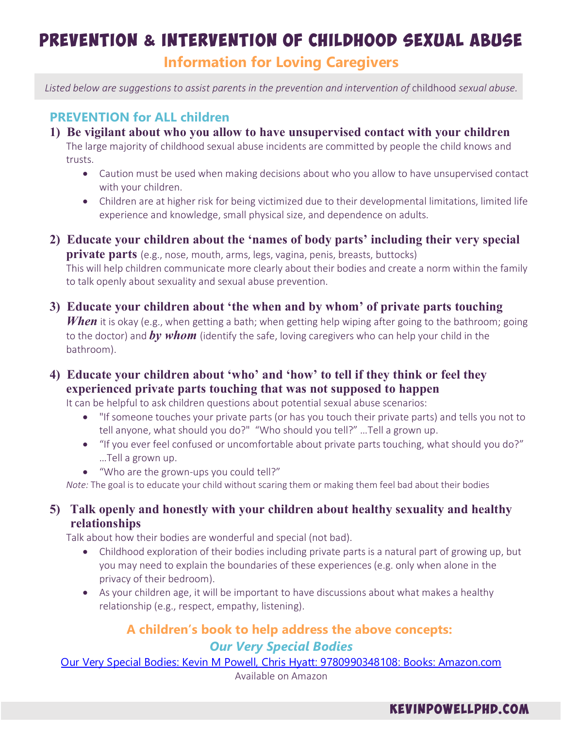# Prevention & Intervention of Childhood Sexual Abuse **Information for Loving Caregivers**

Listed below are suggestions to assist parents in the prevention and intervention of childhood sexual abuse.

# **PREVENTION for ALL children**

**1) Be vigilant about who you allow to have unsupervised contact with your children**

The large majority of childhood sexual abuse incidents are committed by people the child knows and trusts.

- · Caution must be used when making decisions about who you allow to have unsupervised contact with your children.
- · Children are at higher risk for being victimized due to their developmental limitations, limited life experience and knowledge, small physical size, and dependence on adults.
- **2) Educate your children about the 'names of body parts' including their very special private parts** (e.g., nose, mouth, arms, legs, vagina, penis, breasts, buttocks) This will help children communicate more clearly about their bodies and create a norm within the family to talk openly about sexuality and sexual abuse prevention.
- **3) Educate your children about 'the when and by whom' of private parts touching** *When* it is okay (e.g., when getting a bath; when getting help wiping after going to the bathroom; going to the doctor) and *by whom* (identify the safe, loving caregivers who can help your child in the bathroom).
- **4) Educate your children about 'who' and 'how' to tell if they think or feel they experienced private parts touching that was not supposed to happen**

It can be helpful to ask children questions about potential sexual abuse scenarios:

- · "If someone touches your private parts (or has you touch their private parts) and tells you not to tell anyone, what should you do?" "Who should you tell?" …Tell a grown up.
- "If you ever feel confused or uncomfortable about private parts touching, what should you do?" …Tell a grown up.
- · "Who are the grown-ups you could tell?"

*Note:* The goal is to educate your child without scaring them or making them feel bad about their bodies

## **5) Talk openly and honestly with your children about healthy sexuality and healthy relationships**

Talk about how their bodies are wonderful and special (not bad).

- Childhood exploration of their bodies including private parts is a natural part of growing up, but you may need to explain the boundaries of these experiences (e.g. only when alone in the privacy of their bedroom).
- · As your children age, it will be important to have discussions about what makes a healthy relationship (e.g., respect, empathy, listening).

# **A children's book to help address the above concepts:** *Our Very Special Bodies*

[Our Very Special Bodies: Kevin M Powell, Chris Hyatt: 9780990348108: Books: Amazon.com](https://www.amazon.com/Very-Special-Bodies-Kevin-Powell/dp/0990348105) Available on Amazon